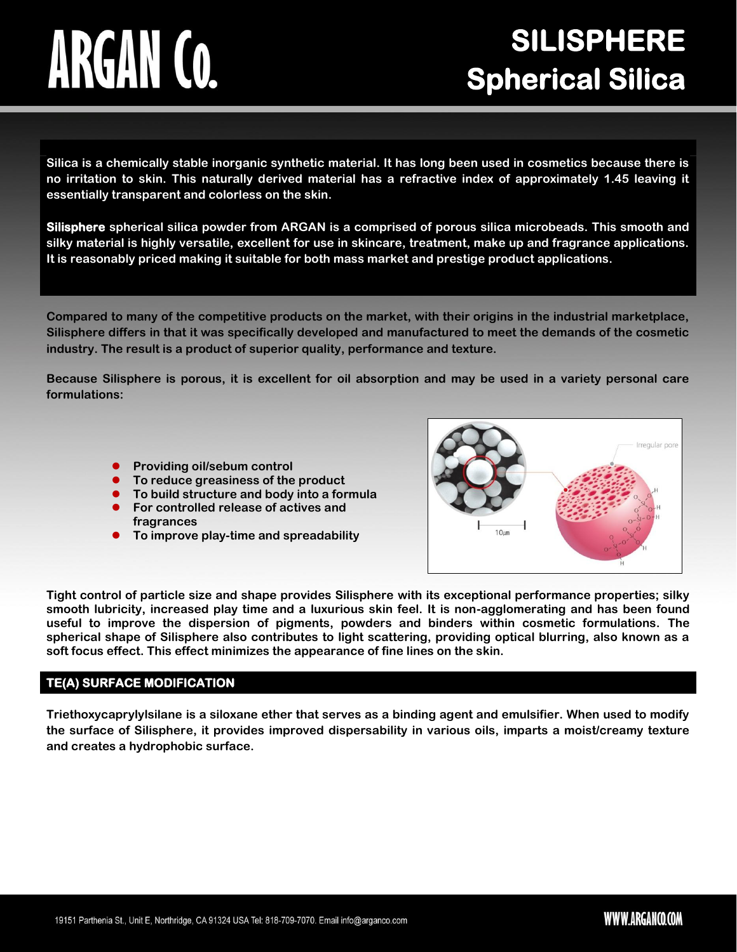# ARGAN CO.

# **SILISPHERE Spherical Silica**

**Silica is a chemically stable inorganic synthetic material. It has long been used in cosmetics because there is no irritation to skin. This naturally derived material has a refractive index of approximately 1.45 leaving it essentially transparent and colorless on the skin.**

**Silisphere spherical silica powder from ARGAN is a comprised of porous silica microbeads. This smooth and silky material is highly versatile, excellent for use in skincare, treatment, make up and fragrance applications. It is reasonably priced making it suitable for both mass market and prestige product applications.**

**Compared to many of the competitive products on the market, with their origins in the industrial marketplace, Silisphere differs in that it was specifically developed and manufactured to meet the demands of the cosmetic industry. The result is a product of superior quality, performance and texture.**

**Because Silisphere is porous, it is excellent for oil absorption and may be used in a variety personal care formulations:**

- **Providing oil/sebum control**
- **To reduce greasiness of the product**
- **To build structure and body into a formula**
- **For controlled release of actives and fragrances**
- **To improve play-time and spreadability**



**Tight control of particle size and shape provides Silisphere with its exceptional performance properties; silky smooth lubricity, increased play time and a luxurious skin feel. It is non-agglomerating and has been found useful to improve the dispersion of pigments, powders and binders within cosmetic formulations. The spherical shape of Silisphere also contributes to light scattering, providing optical blurring, also known as a soft focus effect. This effect minimizes the appearance of fine lines on the skin.**

### **TE(A) SURFACE MODIFICATION**

**Triethoxycaprylylsilane is a siloxane ether that serves as a binding agent and emulsifier. When used to modify the surface of Silisphere, it provides improved dispersability in various oils, imparts a moist/creamy texture and creates a hydrophobic surface.**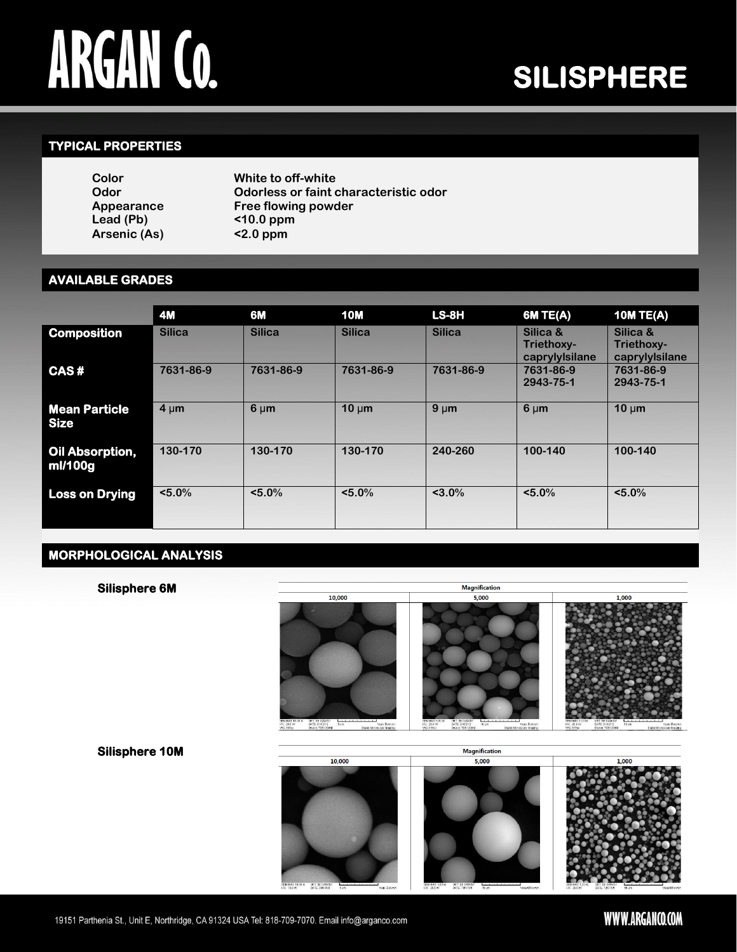# **ARGAN CO.**

# **SILISPHERE**

## **TYPICAL PROPERTIES**

| Color        | White to off-white                    |
|--------------|---------------------------------------|
| Odor         | Odorless or faint characteristic odor |
| Appearance   | Free flowing powder                   |
| Lead (Pb)    | $<$ 10.0 ppm                          |
| Arsenic (As) | $<$ 2.0 ppm                           |

## **AVAILABLE GRADES**

|                                     | <b>4M</b>     | 6M            | <b>10M</b>    | LS-8H         | <b>6M TE(A)</b>                          | <b>10M TE(A)</b>                         |
|-------------------------------------|---------------|---------------|---------------|---------------|------------------------------------------|------------------------------------------|
| <b>Composition</b>                  | <b>Silica</b> | <b>Silica</b> | <b>Silica</b> | <b>Silica</b> | Silica &<br>Triethoxy-<br>caprylylsilane | Silica &<br>Triethoxy-<br>caprylylsilane |
| CAS#                                | 7631-86-9     | 7631-86-9     | 7631-86-9     | 7631-86-9     | 7631-86-9<br>2943-75-1                   | 7631-86-9<br>2943-75-1                   |
| <b>Mean Particle</b><br><b>Size</b> | $4 \mu m$     | $6 \mu m$     | $10 \mu m$    | $9 \mu m$     | $6 \mu m$                                | $10 \mu m$                               |
| Oil Absorption,<br>ml/100g          | 130-170       | 130-170       | 130-170       | 240-260       | 100-140                                  | 100-140                                  |
| <b>Loss on Drying</b>               | $< 5.0\%$     | $< 5.0\%$     | $< 5.0\%$     | $< 3.0\%$     | $< 5.0\%$                                | $< 5.0\%$                                |

# **MORPHOLOGICAL ANALYSIS**



# WWW.ARGANCO.COM